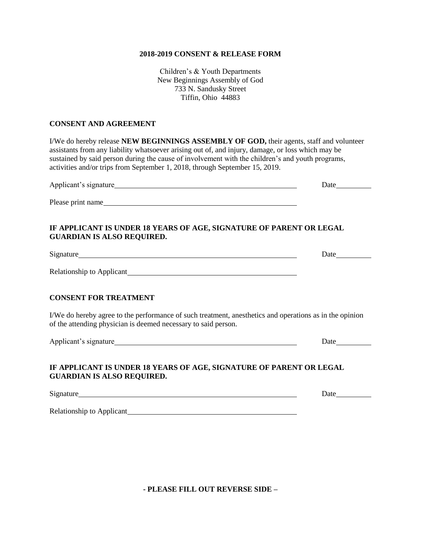#### **2018-2019 CONSENT & RELEASE FORM**

Children's & Youth Departments New Beginnings Assembly of God 733 N. Sandusky Street Tiffin, Ohio 44883

#### **CONSENT AND AGREEMENT**

I/We do hereby release **NEW BEGINNINGS ASSEMBLY OF GOD,** their agents, staff and volunteer assistants from any liability whatsoever arising out of, and injury, damage, or loss which may be sustained by said person during the cause of involvement with the children's and youth programs, activities and/or trips from September 1, 2018, through September 15, 2019.

Applicant's signature Date Please print name

#### **IF APPLICANT IS UNDER 18 YEARS OF AGE, SIGNATURE OF PARENT OR LEGAL GUARDIAN IS ALSO REQUIRED.**

Signature Date

Relationship to Applicant

### **CONSENT FOR TREATMENT**

I/We do hereby agree to the performance of such treatment, anesthetics and operations as in the opinion of the attending physician is deemed necessary to said person.

Applicant's signature Date Date Date

# **IF APPLICANT IS UNDER 18 YEARS OF AGE, SIGNATURE OF PARENT OR LEGAL GUARDIAN IS ALSO REQUIRED.**

Signature Date Date and the Date of the Date of the Date of the Date of the Date of the Date of the Date of the Date of the Date of the Date of the Date of the Date of the Date of the Date of the Date of the Date of the Da

Relationship to Applicant

**- PLEASE FILL OUT REVERSE SIDE –**